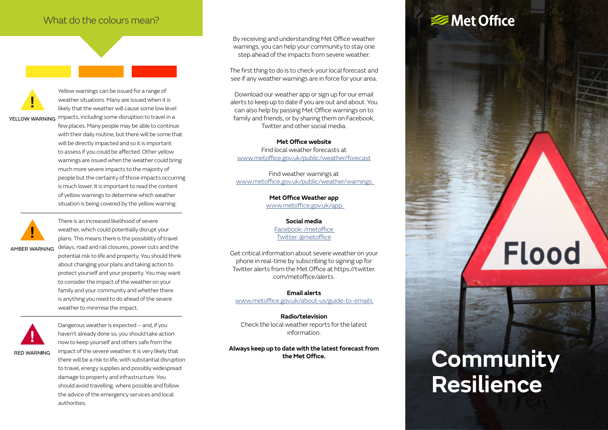#### What do the colours mean?

Yellow warnings can be issued for a range of weather situations. Many are issued when it is likely that the weather will cause some low level

YELLOW WARNING impacts, including some disruption to travel in a few places. Many people may be able to continue with their daily routine, but there will be some that will be directly impacted and so it is important to assess if you could be affected. Other yellow warnings are issued when the weather could bring much more severe impacts to the majority of people but the certainty of those impacts occurring is much lower. It is important to read the content of yellow warnings to determine which weather situation is being covered by the yellow warning.



There is an increased likelihood of severe weather, which could potentially disrupt your plans. This means there is the possibility of travel delays, road and rail closures, power cuts and the AMBER WARNING

potential risk to life and property. You should think about changing your plans and taking action to protect yourself and your property. You may want to consider the impact of the weather on your family and your community and whether there is anything you need to do ahead of the severe weather to minimise the impact.



Dangerous weather is expected – and, if you haven't already done so, you should take action now to keep yourself and others safe from the impact of the severe weather. It is very likely that there will be a risk to life, with substantial disruption to travel, energy supplies and possibly widespread damage to property and infrastructure. You should avoid travelling, where possible and follow the advice of the emergency services and local authorities.

By receiving and understanding Met Office weather warnings, you can help your community to stay one step ahead of the impacts from severe weather.

The first thing to do is to check your local forecast and see if any weather warnings are in force for your area.

Download our weather app or sign up for our email alerts to keep up to date if you are out and about. You can also help by passing Met Office warnings on to family and friends, or by sharing them on Facebook, Twitter and other social media.

**Met Office website** Find local weather forecasts at [www.metoffice.gov.uk/public/weather/forecast](http://www.metoffice.gov.uk/public/weather/forecast)

Find weather warnings at [www.metoffice.gov.uk/public/weather/warnings](http://www.metoffice.gov.uk/public/weather/warnings) 

> **Met Office Weather app**  [www.metoffice.gov.uk/app](http://www.metoffice.gov.uk/services/mobile-digital-services/weather-app)

> > **Social media**  [Facebook: /metoffice](https://www.facebook.com/metoffice/)  [Twitter: @metoffice](https://twitter.com/metoffice?ref_src=twsrc%5Egoogle%7Ctwcamp%5Eserp%7Ctwgr%5Eauthor)

Get critical information about severe weather on your phone in real-time by subscribing to signing up for Twitter alerts from the Met Office at https://twitter. com/metoffice/alerts.

**Email alerts** 

[www.metoffice.gov.uk/about-us/guide-to-emails](http://www.metoffice.gov.uk/about-us/guide-to-emails) 

**Radio/television** Check the local weather reports for the latest information.

**Always keep up to date with the latest forecast from the Met Office.**

### <del></del> Met Office

# **Flood**

## **Community Resilience**